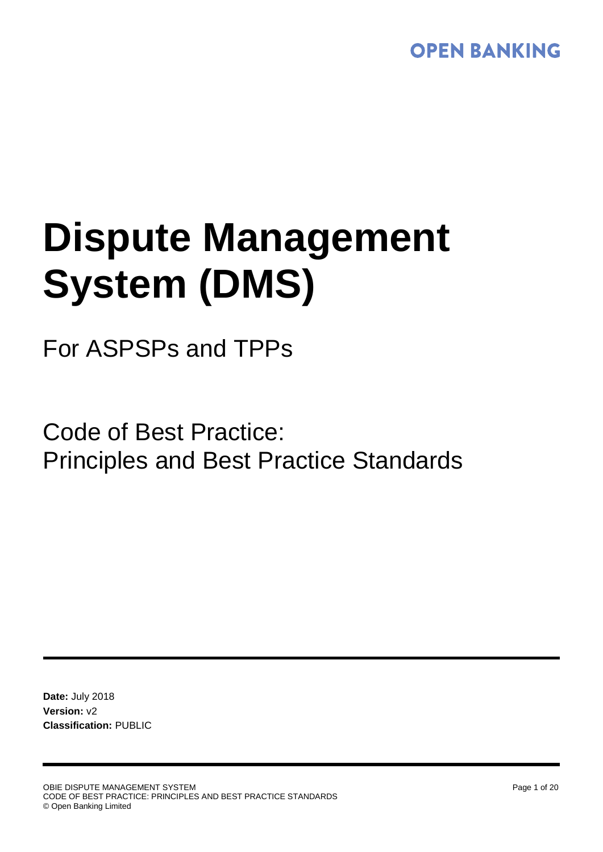# **OPEN BANKING**

# **Dispute Management System (DMS)**

# For ASPSPs and TPPs

Code of Best Practice: Principles and Best Practice Standards

**Date:** July 2018 **Version:** v2 **Classification:** PUBLIC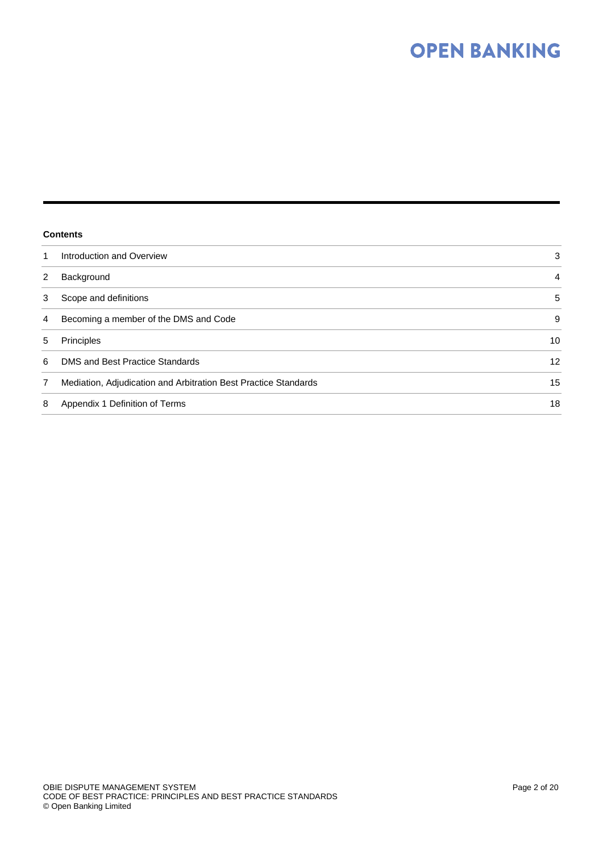# **OPEN BANKING**

#### **Contents**

| 1 | Introduction and Overview                                       | 3  |
|---|-----------------------------------------------------------------|----|
| 2 | Background                                                      | 4  |
| 3 | Scope and definitions                                           | 5  |
| 4 | Becoming a member of the DMS and Code                           | 9  |
| 5 | Principles                                                      | 10 |
| 6 | DMS and Best Practice Standards                                 | 12 |
| 7 | Mediation, Adjudication and Arbitration Best Practice Standards | 15 |
| 8 | Appendix 1 Definition of Terms                                  | 18 |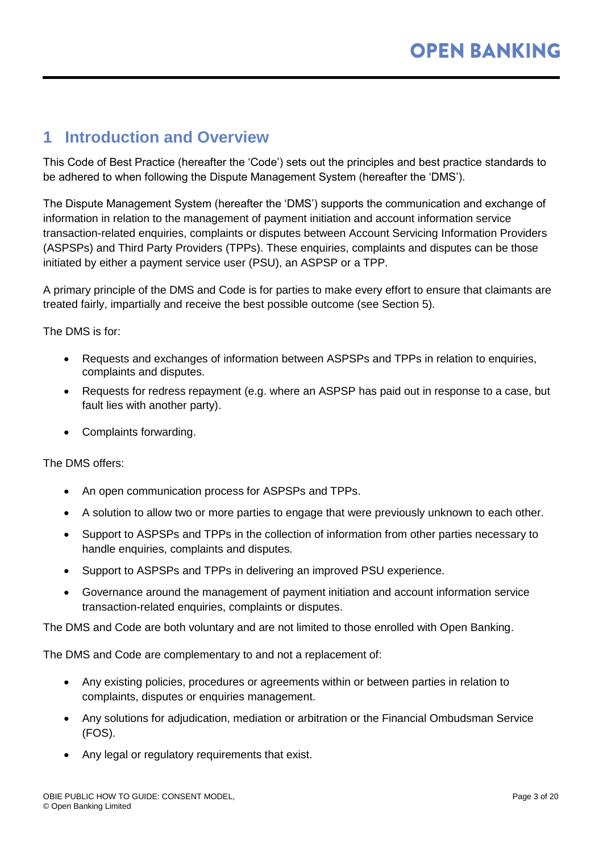# <span id="page-2-0"></span>**1 Introduction and Overview**

This Code of Best Practice (hereafter the 'Code') sets out the principles and best practice standards to be adhered to when following the Dispute Management System (hereafter the 'DMS').

The Dispute Management System (hereafter the 'DMS') supports the communication and exchange of information in relation to the management of payment initiation and account information service transaction-related enquiries, complaints or disputes between Account Servicing Information Providers (ASPSPs) and Third Party Providers (TPPs). These enquiries, complaints and disputes can be those initiated by either a payment service user (PSU), an ASPSP or a TPP.

A primary principle of the DMS and Code is for parties to make every effort to ensure that claimants are treated fairly, impartially and receive the best possible outcome (see Section 5).

The DMS is for:

- Requests and exchanges of information between ASPSPs and TPPs in relation to enquiries, complaints and disputes.
- Requests for redress repayment (e.g. where an ASPSP has paid out in response to a case, but fault lies with another party).
- Complaints forwarding.

The DMS offers:

- An open communication process for ASPSPs and TPPs.
- A solution to allow two or more parties to engage that were previously unknown to each other.
- Support to ASPSPs and TPPs in the collection of information from other parties necessary to handle enquiries, complaints and disputes.
- Support to ASPSPs and TPPs in delivering an improved PSU experience.
- Governance around the management of payment initiation and account information service transaction-related enquiries, complaints or disputes.

The DMS and Code are both voluntary and are not limited to those enrolled with Open Banking.

The DMS and Code are complementary to and not a replacement of:

- Any existing policies, procedures or agreements within or between parties in relation to complaints, disputes or enquiries management.
- Any solutions for adjudication, mediation or arbitration or the Financial Ombudsman Service (FOS).
- Any legal or regulatory requirements that exist.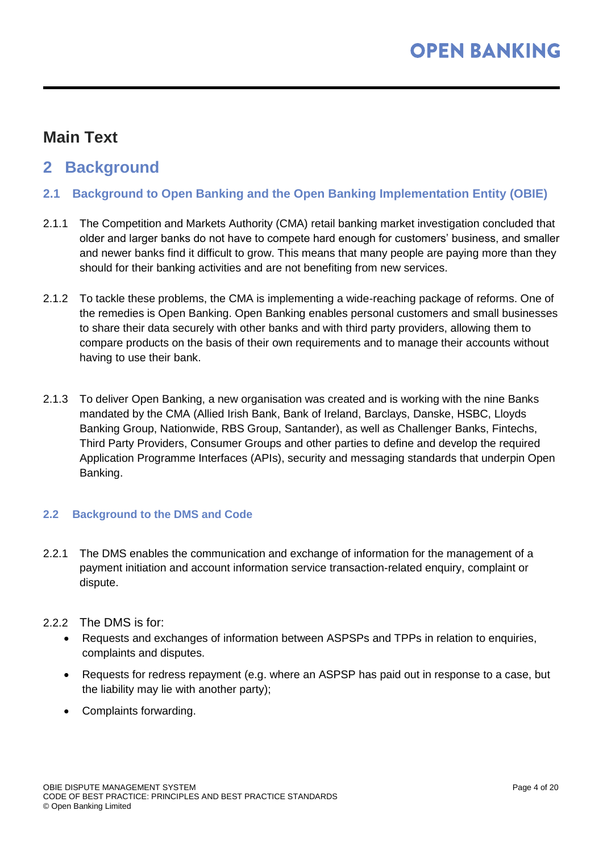# **Main Text**

# <span id="page-3-0"></span>**2 Background**

- **2.1 Background to Open Banking and the Open Banking Implementation Entity (OBIE)**
- 2.1.1 The Competition and Markets Authority (CMA) retail banking market investigation concluded that older and larger banks do not have to compete hard enough for customers' business, and smaller and newer banks find it difficult to grow. This means that many people are paying more than they should for their banking activities and are not benefiting from new services.
- 2.1.2 To tackle these problems, the CMA is implementing a wide-reaching package of reforms. One of the remedies is Open Banking. Open Banking enables personal customers and small businesses to share their data securely with other banks and with third party providers, allowing them to compare products on the basis of their own requirements and to manage their accounts without having to use their bank.
- 2.1.3 To deliver Open Banking, a new organisation was created and is working with the nine Banks mandated by the CMA (Allied Irish Bank, Bank of Ireland, Barclays, Danske, HSBC, Lloyds Banking Group, Nationwide, RBS Group, Santander), as well as Challenger Banks, Fintechs, Third Party Providers, Consumer Groups and other parties to define and develop the required Application Programme Interfaces (APIs), security and messaging standards that underpin Open Banking.

#### **2.2 Background to the DMS and Code**

2.2.1 The DMS enables the communication and exchange of information for the management of a payment initiation and account information service transaction-related enquiry, complaint or dispute.

#### 2.2.2 The DMS is for:

- Requests and exchanges of information between ASPSPs and TPPs in relation to enquiries, complaints and disputes.
- Requests for redress repayment (e.g. where an ASPSP has paid out in response to a case, but the liability may lie with another party);
- Complaints forwarding.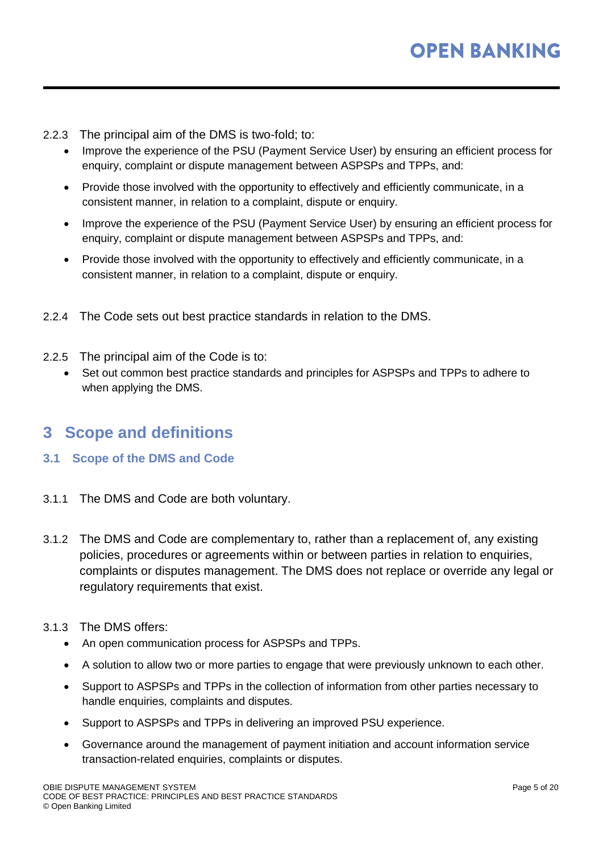- 2.2.3 The principal aim of the DMS is two-fold; to:
	- Improve the experience of the PSU (Payment Service User) by ensuring an efficient process for enquiry, complaint or dispute management between ASPSPs and TPPs, and:
	- Provide those involved with the opportunity to effectively and efficiently communicate, in a consistent manner, in relation to a complaint, dispute or enquiry.
	- Improve the experience of the PSU (Payment Service User) by ensuring an efficient process for enquiry, complaint or dispute management between ASPSPs and TPPs, and:
	- Provide those involved with the opportunity to effectively and efficiently communicate, in a consistent manner, in relation to a complaint, dispute or enquiry.
- 2.2.4 The Code sets out best practice standards in relation to the DMS.
- 2.2.5 The principal aim of the Code is to:
	- Set out common best practice standards and principles for ASPSPs and TPPs to adhere to when applying the DMS.

# <span id="page-4-0"></span>**3 Scope and definitions**

- **3.1 Scope of the DMS and Code**
- 3.1.1 The DMS and Code are both voluntary.
- 3.1.2 The DMS and Code are complementary to, rather than a replacement of, any existing policies, procedures or agreements within or between parties in relation to enquiries, complaints or disputes management. The DMS does not replace or override any legal or regulatory requirements that exist.
- 3.1.3 The DMS offers:
	- An open communication process for ASPSPs and TPPs.
	- A solution to allow two or more parties to engage that were previously unknown to each other.
	- Support to ASPSPs and TPPs in the collection of information from other parties necessary to handle enquiries, complaints and disputes.
	- Support to ASPSPs and TPPs in delivering an improved PSU experience.
	- Governance around the management of payment initiation and account information service transaction-related enquiries, complaints or disputes.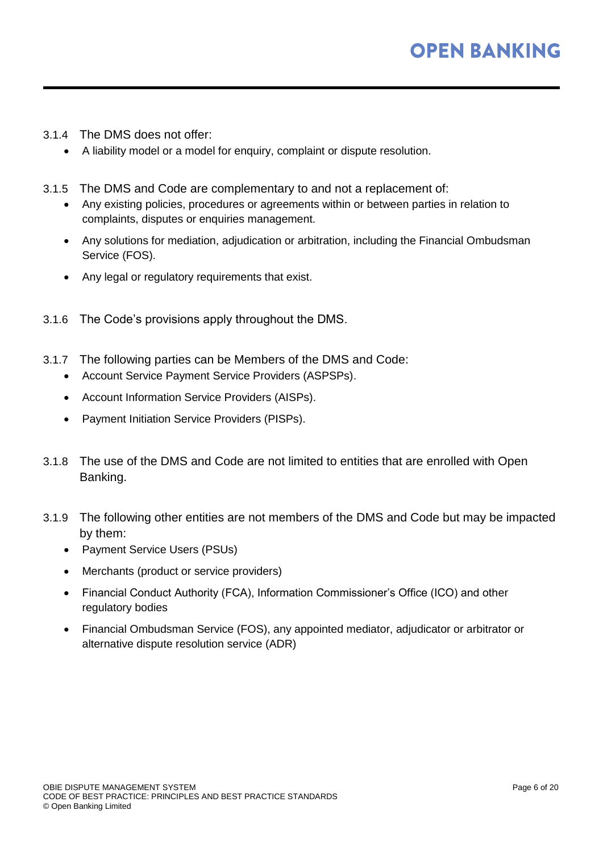- 3.1.4 The DMS does not offer:
	- A liability model or a model for enquiry, complaint or dispute resolution.
- 3.1.5 The DMS and Code are complementary to and not a replacement of:
	- Any existing policies, procedures or agreements within or between parties in relation to complaints, disputes or enquiries management.
	- Any solutions for mediation, adjudication or arbitration, including the Financial Ombudsman Service (FOS).
	- Any legal or regulatory requirements that exist.
- 3.1.6 The Code's provisions apply throughout the DMS.
- 3.1.7 The following parties can be Members of the DMS and Code:
	- Account Service Payment Service Providers (ASPSPs).
	- Account Information Service Providers (AISPs).
	- Payment Initiation Service Providers (PISPs).
- 3.1.8 The use of the DMS and Code are not limited to entities that are enrolled with Open Banking.
- 3.1.9 The following other entities are not members of the DMS and Code but may be impacted by them:
	- Payment Service Users (PSUs)
	- Merchants (product or service providers)
	- Financial Conduct Authority (FCA), Information Commissioner's Office (ICO) and other regulatory bodies
	- Financial Ombudsman Service (FOS), any appointed mediator, adjudicator or arbitrator or alternative dispute resolution service (ADR)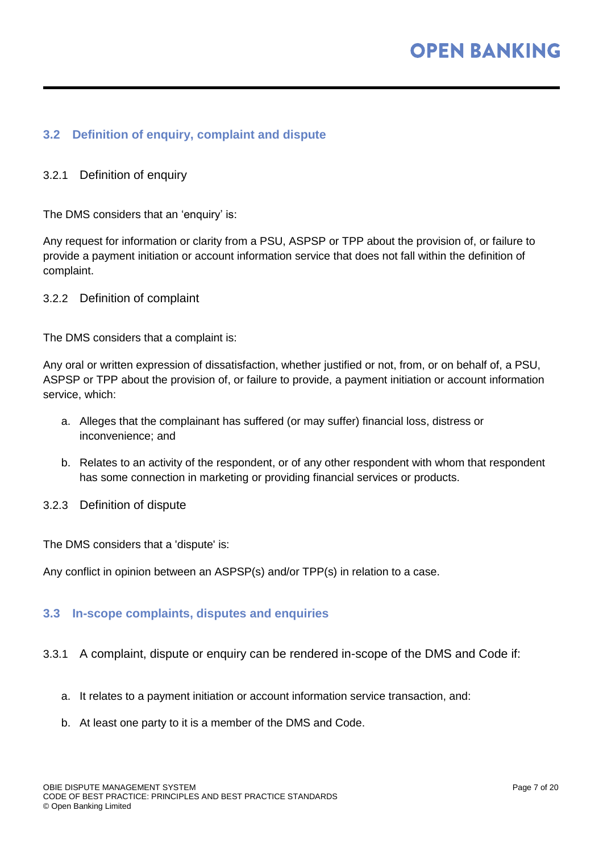#### **3.2 Definition of enquiry, complaint and dispute**

#### 3.2.1 Definition of enquiry

The DMS considers that an 'enquiry' is:

Any request for information or clarity from a PSU, ASPSP or TPP about the provision of, or failure to provide a payment initiation or account information service that does not fall within the definition of complaint.

3.2.2 Definition of complaint

The DMS considers that a complaint is:

Any oral or written expression of dissatisfaction, whether justified or not, from, or on behalf of, a PSU, ASPSP or TPP about the provision of, or failure to provide, a payment initiation or account information service, which:

- a. Alleges that the complainant has suffered (or may suffer) financial loss, distress or inconvenience; and
- b. Relates to an activity of the respondent, or of any other respondent with whom that respondent has some connection in marketing or providing financial services or products.
- 3.2.3 Definition of dispute

The DMS considers that a 'dispute' is:

Any conflict in opinion between an ASPSP(s) and/or TPP(s) in relation to a case.

#### **3.3 In-scope complaints, disputes and enquiries**

- 3.3.1 A complaint, dispute or enquiry can be rendered in-scope of the DMS and Code if:
	- a. It relates to a payment initiation or account information service transaction, and:
	- b. At least one party to it is a member of the DMS and Code.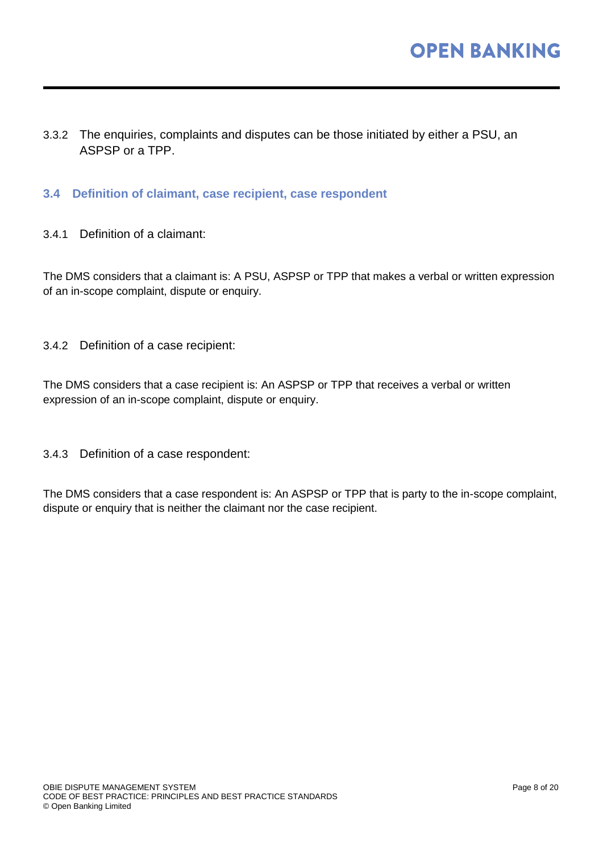- 3.3.2 The enquiries, complaints and disputes can be those initiated by either a PSU, an ASPSP or a TPP.
- **3.4 Definition of claimant, case recipient, case respondent**
- 3.4.1 Definition of a claimant:

The DMS considers that a claimant is: A PSU, ASPSP or TPP that makes a verbal or written expression of an in-scope complaint, dispute or enquiry.

3.4.2 Definition of a case recipient:

The DMS considers that a case recipient is: An ASPSP or TPP that receives a verbal or written expression of an in-scope complaint, dispute or enquiry.

3.4.3 Definition of a case respondent:

The DMS considers that a case respondent is: An ASPSP or TPP that is party to the in-scope complaint, dispute or enquiry that is neither the claimant nor the case recipient.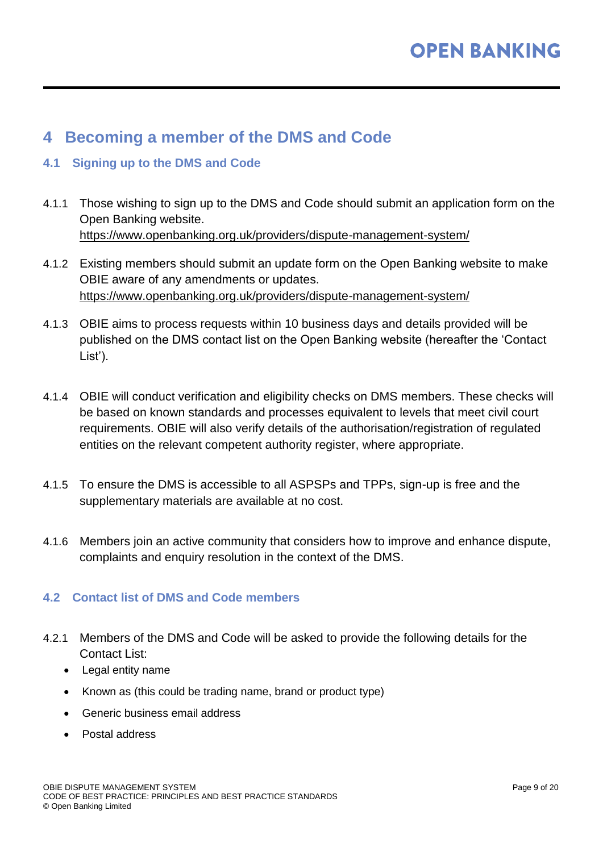# <span id="page-8-0"></span>**4 Becoming a member of the DMS and Code**

#### **4.1 Signing up to the DMS and Code**

- 4.1.1 Those wishing to sign up to the DMS and Code should submit an application form on the Open Banking website. <https://www.openbanking.org.uk/providers/dispute-management-system/>
- 4.1.2 Existing members should submit an update form on the Open Banking website to make OBIE aware of any amendments or updates. <https://www.openbanking.org.uk/providers/dispute-management-system/>
- 4.1.3 OBIE aims to process requests within 10 business days and details provided will be published on the DMS contact list on the Open Banking website (hereafter the 'Contact List').
- 4.1.4 OBIE will conduct verification and eligibility checks on DMS members. These checks will be based on known standards and processes equivalent to levels that meet civil court requirements. OBIE will also verify details of the authorisation/registration of regulated entities on the relevant competent authority register, where appropriate.
- 4.1.5 To ensure the DMS is accessible to all ASPSPs and TPPs, sign-up is free and the supplementary materials are available at no cost.
- 4.1.6 Members join an active community that considers how to improve and enhance dispute, complaints and enquiry resolution in the context of the DMS.

#### **4.2 Contact list of DMS and Code members**

- 4.2.1 Members of the DMS and Code will be asked to provide the following details for the Contact List:
	- Legal entity name
	- Known as (this could be trading name, brand or product type)
	- Generic business email address
	- Postal address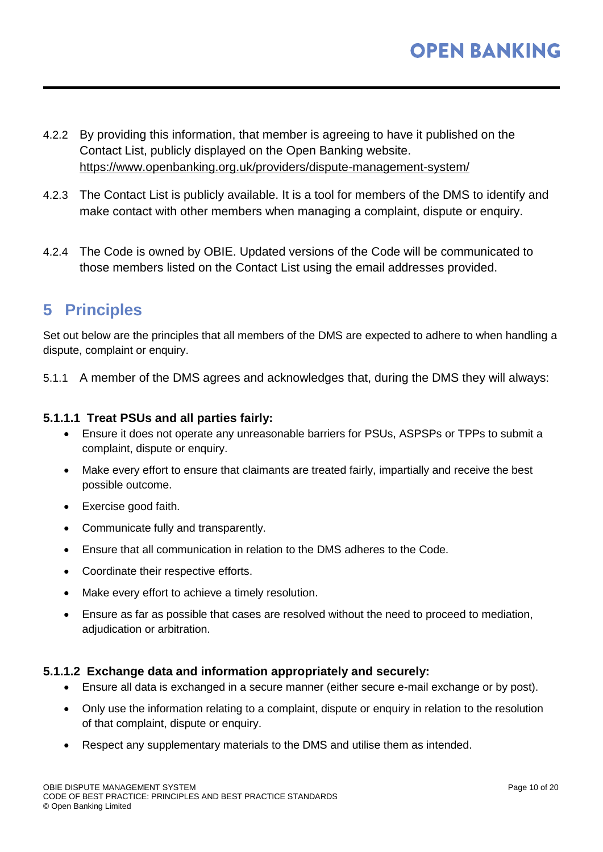- 4.2.2 By providing this information, that member is agreeing to have it published on the Contact List, publicly displayed on the Open Banking website. <https://www.openbanking.org.uk/providers/dispute-management-system/>
- 4.2.3 The Contact List is publicly available. It is a tool for members of the DMS to identify and make contact with other members when managing a complaint, dispute or enquiry.
- 4.2.4 The Code is owned by OBIE. Updated versions of the Code will be communicated to those members listed on the Contact List using the email addresses provided.

# <span id="page-9-0"></span>**5 Principles**

Set out below are the principles that all members of the DMS are expected to adhere to when handling a dispute, complaint or enquiry.

5.1.1 A member of the DMS agrees and acknowledges that, during the DMS they will always:

#### **5.1.1.1 Treat PSUs and all parties fairly:**

- Ensure it does not operate any unreasonable barriers for PSUs, ASPSPs or TPPs to submit a complaint, dispute or enquiry.
- Make every effort to ensure that claimants are treated fairly, impartially and receive the best possible outcome.
- Exercise good faith.
- Communicate fully and transparently.
- Ensure that all communication in relation to the DMS adheres to the Code.
- Coordinate their respective efforts.
- Make every effort to achieve a timely resolution.
- Ensure as far as possible that cases are resolved without the need to proceed to mediation, adjudication or arbitration.

#### **5.1.1.2 Exchange data and information appropriately and securely:**

- Ensure all data is exchanged in a secure manner (either secure e-mail exchange or by post).
- Only use the information relating to a complaint, dispute or enquiry in relation to the resolution of that complaint, dispute or enquiry.
- Respect any supplementary materials to the DMS and utilise them as intended.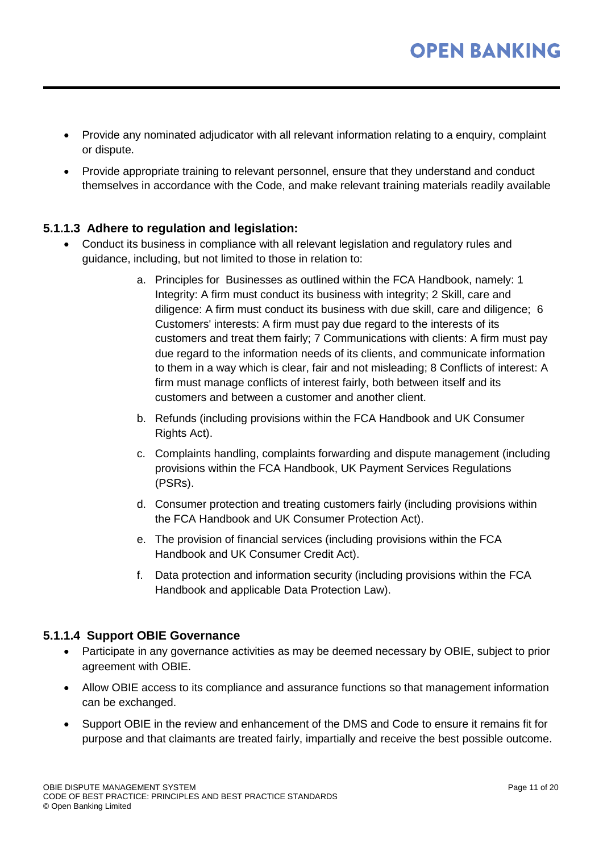- Provide any nominated adjudicator with all relevant information relating to a enquiry, complaint or dispute.
- Provide appropriate training to relevant personnel, ensure that they understand and conduct themselves in accordance with the Code, and make relevant training materials readily available

#### **5.1.1.3 Adhere to regulation and legislation:**

- Conduct its business in compliance with all relevant legislation and regulatory rules and guidance, including, but not limited to those in relation to:
	- a. Principles for Businesses as outlined within the FCA Handbook, namely: 1 Integrity: A firm must conduct its business with integrity; 2 Skill, care and diligence: A firm must conduct its business with due skill, care and diligence; 6 Customers' interests: A firm must pay due regard to the interests of its customers and treat them fairly; 7 Communications with clients: A firm must pay due regard to the information needs of its clients, and communicate information to them in a way which is clear, fair and not misleading; 8 Conflicts of interest: A firm must manage conflicts of interest fairly, both between itself and its customers and between a customer and another client.
	- b. Refunds (including provisions within the FCA Handbook and UK Consumer Rights Act).
	- c. Complaints handling, complaints forwarding and dispute management (including provisions within the FCA Handbook, UK Payment Services Regulations (PSRs).
	- d. Consumer protection and treating customers fairly (including provisions within the FCA Handbook and UK Consumer Protection Act).
	- e. The provision of financial services (including provisions within the FCA Handbook and UK Consumer Credit Act).
	- f. Data protection and information security (including provisions within the FCA Handbook and applicable Data Protection Law).

#### **5.1.1.4 Support OBIE Governance**

- Participate in any governance activities as may be deemed necessary by OBIE, subject to prior agreement with OBIE.
- Allow OBIE access to its compliance and assurance functions so that management information can be exchanged.
- Support OBIE in the review and enhancement of the DMS and Code to ensure it remains fit for purpose and that claimants are treated fairly, impartially and receive the best possible outcome.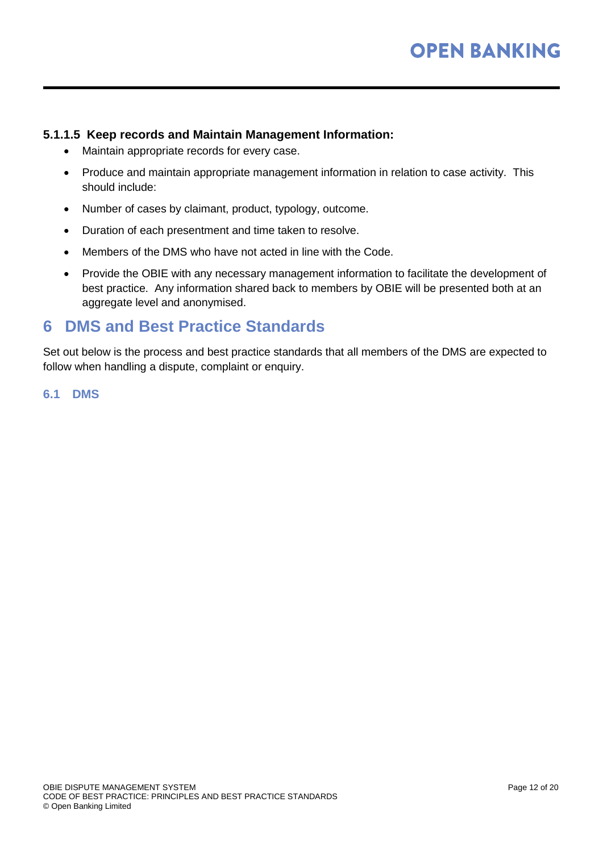#### **5.1.1.5 Keep records and Maintain Management Information:**

- Maintain appropriate records for every case.
- Produce and maintain appropriate management information in relation to case activity. This should include:
- Number of cases by claimant, product, typology, outcome.
- Duration of each presentment and time taken to resolve.
- Members of the DMS who have not acted in line with the Code.
- Provide the OBIE with any necessary management information to facilitate the development of best practice. Any information shared back to members by OBIE will be presented both at an aggregate level and anonymised.

### <span id="page-11-0"></span>**6 DMS and Best Practice Standards**

Set out below is the process and best practice standards that all members of the DMS are expected to follow when handling a dispute, complaint or enquiry.

**6.1 DMS**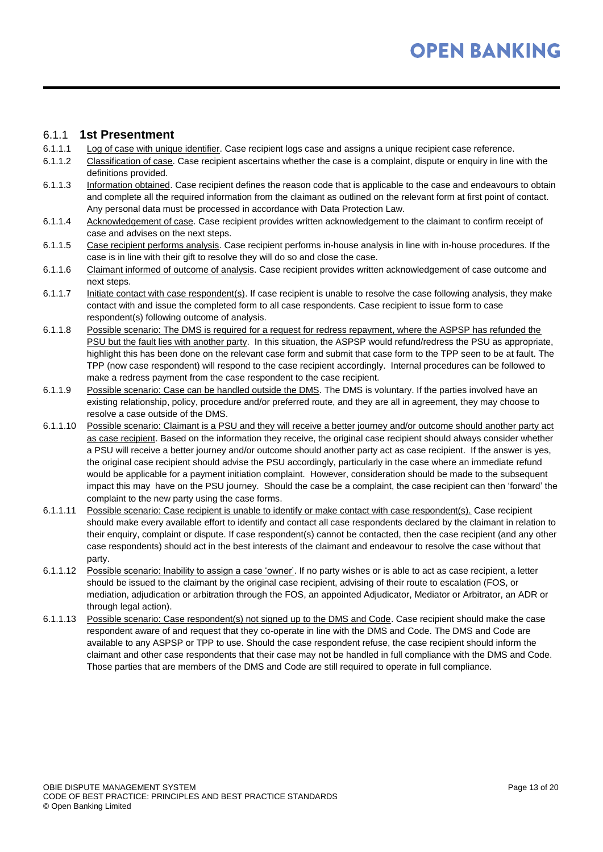#### 6.1.1 **1st Presentment**

- 6.1.1.1 Log of case with unique identifier. Case recipient logs case and assigns a unique recipient case reference.
- 6.1.1.2 Classification of case. Case recipient ascertains whether the case is a complaint, dispute or enquiry in line with the definitions provided.
- 6.1.1.3 Information obtained. Case recipient defines the reason code that is applicable to the case and endeavours to obtain and complete all the required information from the claimant as outlined on the relevant form at first point of contact. Any personal data must be processed in accordance with Data Protection Law.
- 6.1.1.4 Acknowledgement of case. Case recipient provides written acknowledgement to the claimant to confirm receipt of case and advises on the next steps.
- 6.1.1.5 Case recipient performs analysis. Case recipient performs in-house analysis in line with in-house procedures. If the case is in line with their gift to resolve they will do so and close the case.
- 6.1.1.6 Claimant informed of outcome of analysis. Case recipient provides written acknowledgement of case outcome and next steps.
- 6.1.1.7 Initiate contact with case respondent(s). If case recipient is unable to resolve the case following analysis, they make contact with and issue the completed form to all case respondents. Case recipient to issue form to case respondent(s) following outcome of analysis.
- 6.1.1.8 Possible scenario: The DMS is required for a request for redress repayment, where the ASPSP has refunded the PSU but the fault lies with another party. In this situation, the ASPSP would refund/redress the PSU as appropriate, highlight this has been done on the relevant case form and submit that case form to the TPP seen to be at fault. The TPP (now case respondent) will respond to the case recipient accordingly. Internal procedures can be followed to make a redress payment from the case respondent to the case recipient.
- 6.1.1.9 Possible scenario: Case can be handled outside the DMS. The DMS is voluntary. If the parties involved have an existing relationship, policy, procedure and/or preferred route, and they are all in agreement, they may choose to resolve a case outside of the DMS.
- 6.1.1.10 Possible scenario: Claimant is a PSU and they will receive a better journey and/or outcome should another party act as case recipient. Based on the information they receive, the original case recipient should always consider whether a PSU will receive a better journey and/or outcome should another party act as case recipient. If the answer is yes, the original case recipient should advise the PSU accordingly, particularly in the case where an immediate refund would be applicable for a payment initiation complaint. However, consideration should be made to the subsequent impact this may have on the PSU journey. Should the case be a complaint, the case recipient can then 'forward' the complaint to the new party using the case forms.
- 6.1.1.11 Possible scenario: Case recipient is unable to identify or make contact with case respondent(s). Case recipient should make every available effort to identify and contact all case respondents declared by the claimant in relation to their enquiry, complaint or dispute. If case respondent(s) cannot be contacted, then the case recipient (and any other case respondents) should act in the best interests of the claimant and endeavour to resolve the case without that party.
- 6.1.1.12 Possible scenario: Inability to assign a case 'owner'. If no party wishes or is able to act as case recipient, a letter should be issued to the claimant by the original case recipient, advising of their route to escalation (FOS, or mediation, adjudication or arbitration through the FOS, an appointed Adjudicator, Mediator or Arbitrator, an ADR or through legal action).
- 6.1.1.13 Possible scenario: Case respondent(s) not signed up to the DMS and Code. Case recipient should make the case respondent aware of and request that they co-operate in line with the DMS and Code. The DMS and Code are available to any ASPSP or TPP to use. Should the case respondent refuse, the case recipient should inform the claimant and other case respondents that their case may not be handled in full compliance with the DMS and Code. Those parties that are members of the DMS and Code are still required to operate in full compliance.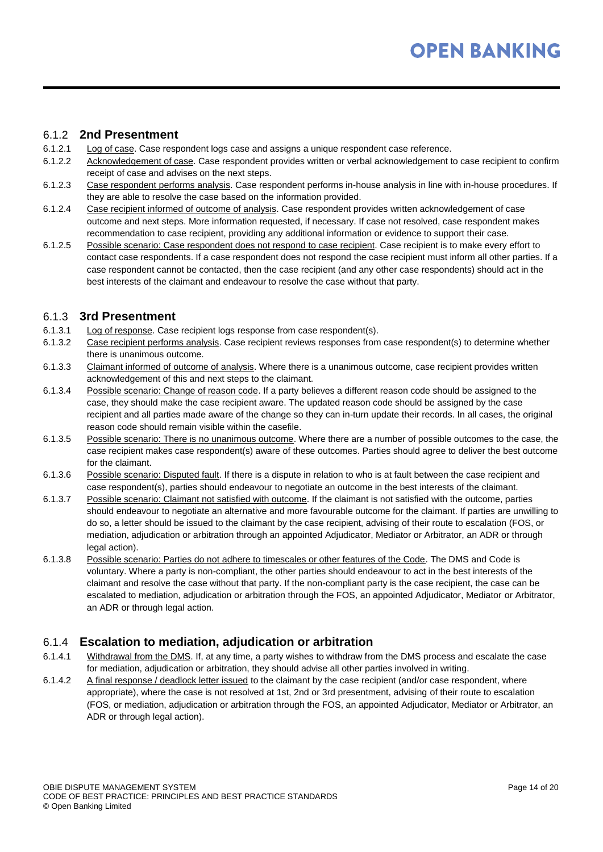#### 6.1.2 **2nd Presentment**

- 6.1.2.1 Log of case. Case respondent logs case and assigns a unique respondent case reference.
- 6.1.2.2 Acknowledgement of case. Case respondent provides written or verbal acknowledgement to case recipient to confirm receipt of case and advises on the next steps.
- 6.1.2.3 Case respondent performs analysis. Case respondent performs in-house analysis in line with in-house procedures. If they are able to resolve the case based on the information provided.
- 6.1.2.4 Case recipient informed of outcome of analysis. Case respondent provides written acknowledgement of case outcome and next steps. More information requested, if necessary. If case not resolved, case respondent makes recommendation to case recipient, providing any additional information or evidence to support their case.
- 6.1.2.5 Possible scenario: Case respondent does not respond to case recipient. Case recipient is to make every effort to contact case respondents. If a case respondent does not respond the case recipient must inform all other parties. If a case respondent cannot be contacted, then the case recipient (and any other case respondents) should act in the best interests of the claimant and endeavour to resolve the case without that party.

#### 6.1.3 **3rd Presentment**

- 6.1.3.1 Log of response. Case recipient logs response from case respondent(s).
- 6.1.3.2 Case recipient performs analysis. Case recipient reviews responses from case respondent(s) to determine whether there is unanimous outcome.
- 6.1.3.3 Claimant informed of outcome of analysis. Where there is a unanimous outcome, case recipient provides written acknowledgement of this and next steps to the claimant.
- 6.1.3.4 Possible scenario: Change of reason code. If a party believes a different reason code should be assigned to the case, they should make the case recipient aware. The updated reason code should be assigned by the case recipient and all parties made aware of the change so they can in-turn update their records. In all cases, the original reason code should remain visible within the casefile.
- 6.1.3.5 Possible scenario: There is no unanimous outcome. Where there are a number of possible outcomes to the case, the case recipient makes case respondent(s) aware of these outcomes. Parties should agree to deliver the best outcome for the claimant.
- 6.1.3.6 Possible scenario: Disputed fault. If there is a dispute in relation to who is at fault between the case recipient and case respondent(s), parties should endeavour to negotiate an outcome in the best interests of the claimant.
- 6.1.3.7 Possible scenario: Claimant not satisfied with outcome. If the claimant is not satisfied with the outcome, parties should endeavour to negotiate an alternative and more favourable outcome for the claimant. If parties are unwilling to do so, a letter should be issued to the claimant by the case recipient, advising of their route to escalation (FOS, or mediation, adjudication or arbitration through an appointed Adjudicator, Mediator or Arbitrator, an ADR or through legal action).
- 6.1.3.8 Possible scenario: Parties do not adhere to timescales or other features of the Code. The DMS and Code is voluntary. Where a party is non-compliant, the other parties should endeavour to act in the best interests of the claimant and resolve the case without that party. If the non-compliant party is the case recipient, the case can be escalated to mediation, adjudication or arbitration through the FOS, an appointed Adjudicator, Mediator or Arbitrator, an ADR or through legal action.

#### 6.1.4 **Escalation to mediation, adjudication or arbitration**

- 6.1.4.1 Withdrawal from the DMS. If, at any time, a party wishes to withdraw from the DMS process and escalate the case for mediation, adjudication or arbitration, they should advise all other parties involved in writing.
- 6.1.4.2 A final response / deadlock letter issued to the claimant by the case recipient (and/or case respondent, where appropriate), where the case is not resolved at 1st, 2nd or 3rd presentment, advising of their route to escalation (FOS, or mediation, adjudication or arbitration through the FOS, an appointed Adjudicator, Mediator or Arbitrator, an ADR or through legal action).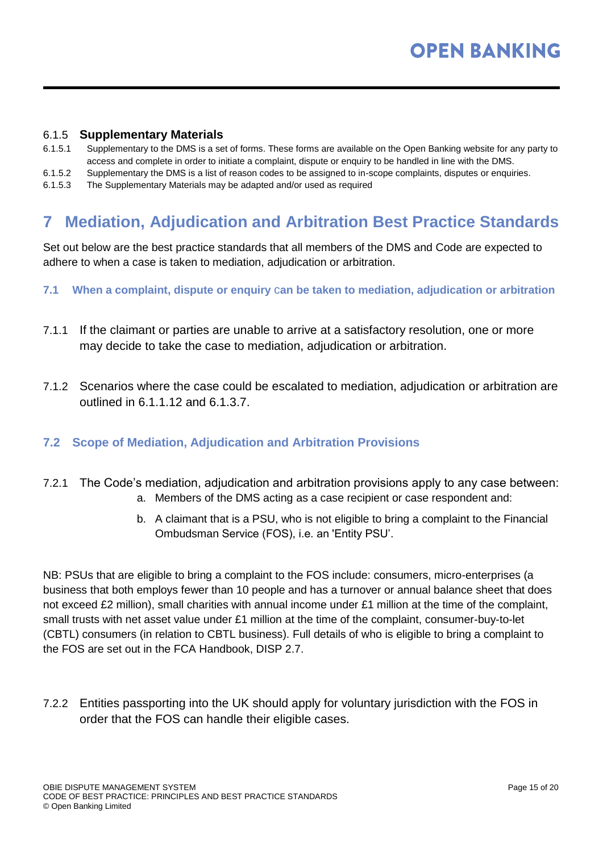#### 6.1.5 **Supplementary Materials**

- 6.1.5.1 Supplementary to the DMS is a set of forms. These forms are available on the Open Banking website for any party to access and complete in order to initiate a complaint, dispute or enquiry to be handled in line with the DMS.
- 6.1.5.2 Supplementary the DMS is a list of reason codes to be assigned to in-scope complaints, disputes or enquiries.
- 6.1.5.3 The Supplementary Materials may be adapted and/or used as required

# <span id="page-14-0"></span>**7 Mediation, Adjudication and Arbitration Best Practice Standards**

Set out below are the best practice standards that all members of the DMS and Code are expected to adhere to when a case is taken to mediation, adjudication or arbitration.

- **7.1 When a complaint, dispute or enquiry** c**an be taken to mediation, adjudication or arbitration**
- 7.1.1 If the claimant or parties are unable to arrive at a satisfactory resolution, one or more may decide to take the case to mediation, adjudication or arbitration.
- 7.1.2 Scenarios where the case could be escalated to mediation, adjudication or arbitration are outlined in 6.1.1.12 and 6.1.3.7.

#### **7.2 Scope of Mediation, Adjudication and Arbitration Provisions**

- 7.2.1 The Code's mediation, adjudication and arbitration provisions apply to any case between:
	- a. Members of the DMS acting as a case recipient or case respondent and:
	- b. A claimant that is a PSU, who is not eligible to bring a complaint to the Financial Ombudsman Service (FOS), i.e. an 'Entity PSU'.

NB: PSUs that are eligible to bring a complaint to the FOS include: consumers, micro-enterprises (a business that both employs fewer than 10 people and has a turnover or annual balance sheet that does not exceed £2 million), small charities with annual income under £1 million at the time of the complaint, small trusts with net asset value under £1 million at the time of the complaint, consumer-buy-to-let (CBTL) consumers (in relation to CBTL business). Full details of who is eligible to bring a complaint to the FOS are set out in the FCA Handbook, DISP 2.7.

7.2.2 Entities passporting into the UK should apply for voluntary jurisdiction with the FOS in order that the FOS can handle their eligible cases.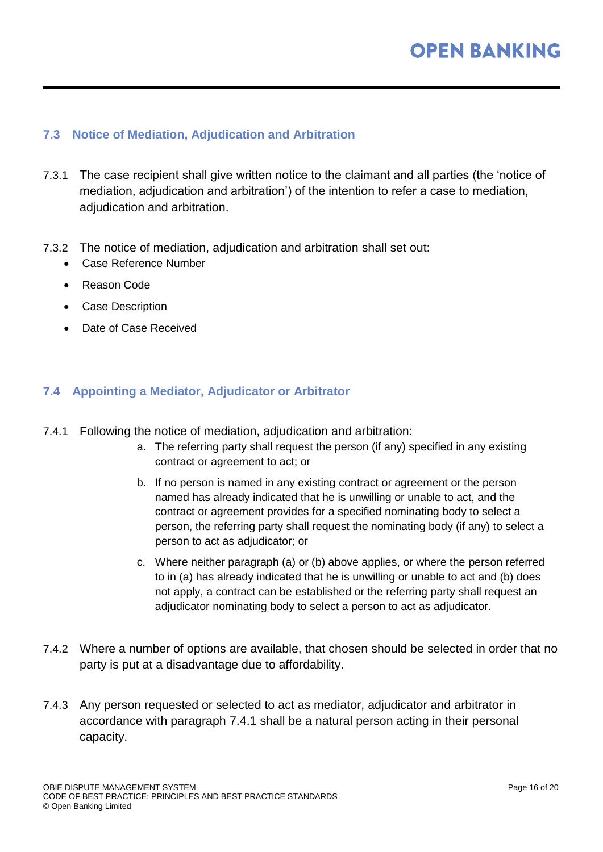#### **7.3 Notice of Mediation, Adjudication and Arbitration**

- 7.3.1 The case recipient shall give written notice to the claimant and all parties (the 'notice of mediation, adjudication and arbitration') of the intention to refer a case to mediation, adjudication and arbitration.
- 7.3.2 The notice of mediation, adjudication and arbitration shall set out:
	- Case Reference Number
	- Reason Code
	- Case Description
	- Date of Case Received

#### **7.4 Appointing a Mediator, Adjudicator or Arbitrator**

- 7.4.1 Following the notice of mediation, adjudication and arbitration:
	- a. The referring party shall request the person (if any) specified in any existing contract or agreement to act; or
	- b. If no person is named in any existing contract or agreement or the person named has already indicated that he is unwilling or unable to act, and the contract or agreement provides for a specified nominating body to select a person, the referring party shall request the nominating body (if any) to select a person to act as adjudicator; or
	- c. Where neither paragraph (a) or (b) above applies, or where the person referred to in (a) has already indicated that he is unwilling or unable to act and (b) does not apply, a contract can be established or the referring party shall request an adjudicator nominating body to select a person to act as adjudicator.
- 7.4.2 Where a number of options are available, that chosen should be selected in order that no party is put at a disadvantage due to affordability.
- 7.4.3 Any person requested or selected to act as mediator, adjudicator and arbitrator in accordance with paragraph 7.4.1 shall be a natural person acting in their personal capacity.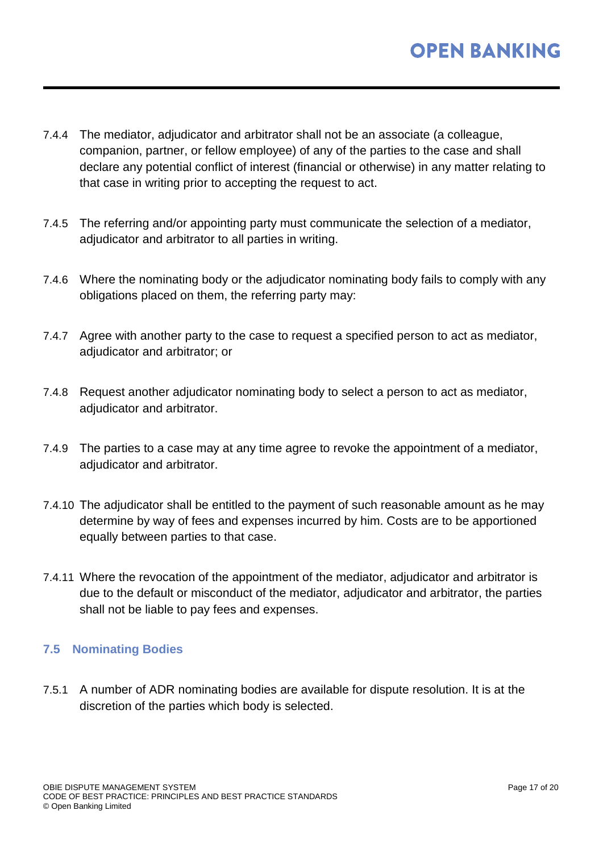- 7.4.4 The mediator, adjudicator and arbitrator shall not be an associate (a colleague, companion, partner, or fellow employee) of any of the parties to the case and shall declare any potential conflict of interest (financial or otherwise) in any matter relating to that case in writing prior to accepting the request to act.
- 7.4.5 The referring and/or appointing party must communicate the selection of a mediator, adjudicator and arbitrator to all parties in writing.
- 7.4.6 Where the nominating body or the adjudicator nominating body fails to comply with any obligations placed on them, the referring party may:
- 7.4.7 Agree with another party to the case to request a specified person to act as mediator, adjudicator and arbitrator; or
- 7.4.8 Request another adjudicator nominating body to select a person to act as mediator, adjudicator and arbitrator.
- 7.4.9 The parties to a case may at any time agree to revoke the appointment of a mediator, adjudicator and arbitrator.
- 7.4.10 The adjudicator shall be entitled to the payment of such reasonable amount as he may determine by way of fees and expenses incurred by him. Costs are to be apportioned equally between parties to that case.
- 7.4.11 Where the revocation of the appointment of the mediator, adjudicator and arbitrator is due to the default or misconduct of the mediator, adjudicator and arbitrator, the parties shall not be liable to pay fees and expenses.

#### **7.5 Nominating Bodies**

7.5.1 A number of ADR nominating bodies are available for dispute resolution. It is at the discretion of the parties which body is selected.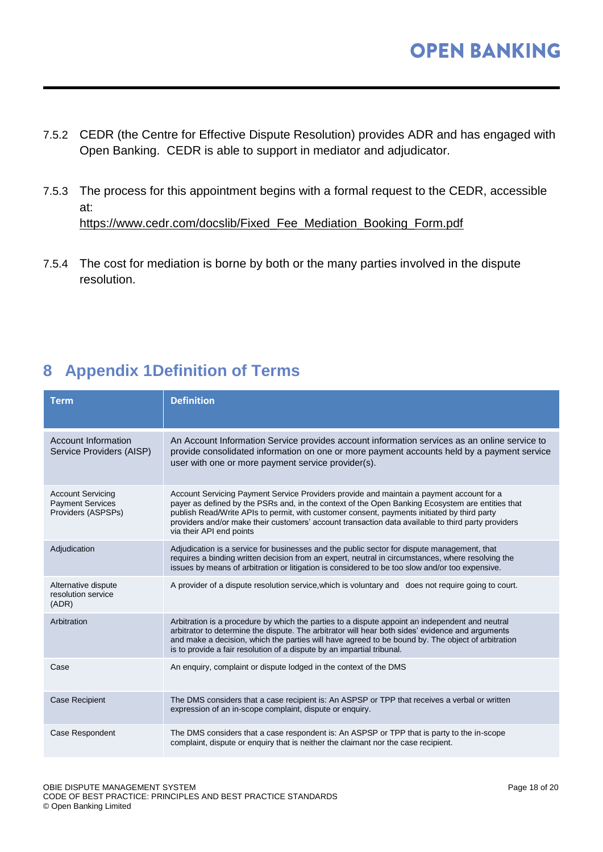- 7.5.2 CEDR (the Centre for Effective Dispute Resolution) provides ADR and has engaged with Open Banking. CEDR is able to support in mediator and adjudicator.
- 7.5.3 The process for this appointment begins with a formal request to the CEDR, accessible at: [https://www.cedr.com/docslib/Fixed\\_Fee\\_Mediation\\_Booking\\_Form.pdf](https://www.cedr.com/docslib/Fixed_Fee_Mediation_Booking_Form.pdf)
- 7.5.4 The cost for mediation is borne by both or the many parties involved in the dispute resolution.

# <span id="page-17-0"></span>**8 Appendix 1Definition of Terms**

| <b>Term</b>                                                               | <b>Definition</b>                                                                                                                                                                                                                                                                                                                                                                                                             |
|---------------------------------------------------------------------------|-------------------------------------------------------------------------------------------------------------------------------------------------------------------------------------------------------------------------------------------------------------------------------------------------------------------------------------------------------------------------------------------------------------------------------|
| Account Information<br>Service Providers (AISP)                           | An Account Information Service provides account information services as an online service to<br>provide consolidated information on one or more payment accounts held by a payment service<br>user with one or more payment service provider(s).                                                                                                                                                                              |
| <b>Account Servicing</b><br><b>Payment Services</b><br>Providers (ASPSPs) | Account Servicing Payment Service Providers provide and maintain a payment account for a<br>payer as defined by the PSRs and, in the context of the Open Banking Ecosystem are entities that<br>publish Read/Write APIs to permit, with customer consent, payments initiated by third party<br>providers and/or make their customers' account transaction data available to third party providers<br>via their API end points |
| Adjudication                                                              | Adjudication is a service for businesses and the public sector for dispute management, that<br>requires a binding written decision from an expert, neutral in circumstances, where resolving the<br>issues by means of arbitration or litigation is considered to be too slow and/or too expensive.                                                                                                                           |
| Alternative dispute<br>resolution service<br>(ADR)                        | A provider of a dispute resolution service, which is voluntary and does not require going to court.                                                                                                                                                                                                                                                                                                                           |
| Arbitration                                                               | Arbitration is a procedure by which the parties to a dispute appoint an independent and neutral<br>arbitrator to determine the dispute. The arbitrator will hear both sides' evidence and arguments<br>and make a decision, which the parties will have agreed to be bound by. The object of arbitration<br>is to provide a fair resolution of a dispute by an impartial tribunal.                                            |
| Case                                                                      | An enquiry, complaint or dispute lodged in the context of the DMS                                                                                                                                                                                                                                                                                                                                                             |
| <b>Case Recipient</b>                                                     | The DMS considers that a case recipient is: An ASPSP or TPP that receives a verbal or written<br>expression of an in-scope complaint, dispute or enquiry.                                                                                                                                                                                                                                                                     |
| Case Respondent                                                           | The DMS considers that a case respondent is: An ASPSP or TPP that is party to the in-scope<br>complaint, dispute or enquiry that is neither the claimant nor the case recipient.                                                                                                                                                                                                                                              |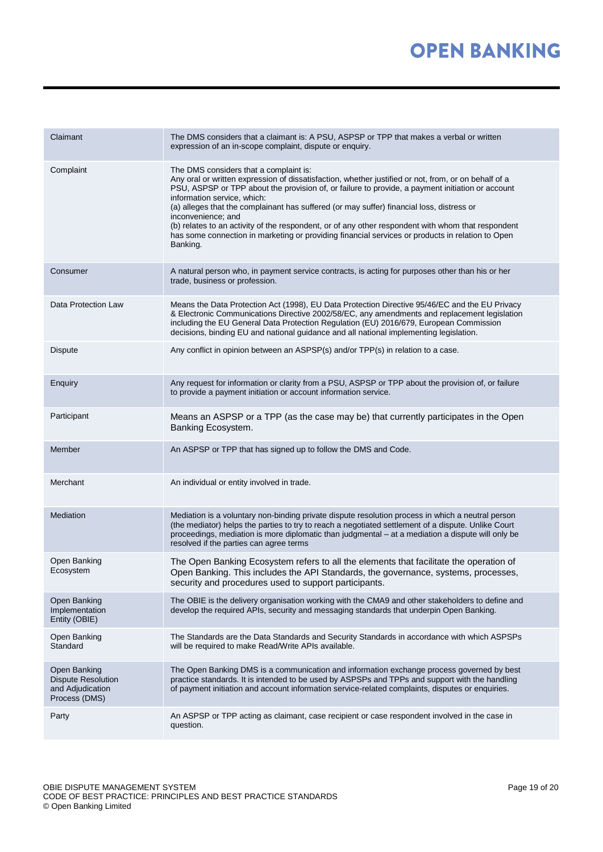| Claimant                                                                       | The DMS considers that a claimant is: A PSU, ASPSP or TPP that makes a verbal or written<br>expression of an in-scope complaint, dispute or enquiry.                                                                                                                                                                                                                                                                                                                                                                                                                                                                       |
|--------------------------------------------------------------------------------|----------------------------------------------------------------------------------------------------------------------------------------------------------------------------------------------------------------------------------------------------------------------------------------------------------------------------------------------------------------------------------------------------------------------------------------------------------------------------------------------------------------------------------------------------------------------------------------------------------------------------|
| Complaint                                                                      | The DMS considers that a complaint is:<br>Any oral or written expression of dissatisfaction, whether justified or not, from, or on behalf of a<br>PSU, ASPSP or TPP about the provision of, or failure to provide, a payment initiation or account<br>information service, which:<br>(a) alleges that the complainant has suffered (or may suffer) financial loss, distress or<br>inconvenience; and<br>(b) relates to an activity of the respondent, or of any other respondent with whom that respondent<br>has some connection in marketing or providing financial services or products in relation to Open<br>Banking. |
| Consumer                                                                       | A natural person who, in payment service contracts, is acting for purposes other than his or her<br>trade, business or profession.                                                                                                                                                                                                                                                                                                                                                                                                                                                                                         |
| Data Protection Law                                                            | Means the Data Protection Act (1998), EU Data Protection Directive 95/46/EC and the EU Privacy<br>& Electronic Communications Directive 2002/58/EC, any amendments and replacement legislation<br>including the EU General Data Protection Regulation (EU) 2016/679, European Commission<br>decisions, binding EU and national guidance and all national implementing legislation.                                                                                                                                                                                                                                         |
| <b>Dispute</b>                                                                 | Any conflict in opinion between an ASPSP(s) and/or TPP(s) in relation to a case.                                                                                                                                                                                                                                                                                                                                                                                                                                                                                                                                           |
| Enquiry                                                                        | Any request for information or clarity from a PSU, ASPSP or TPP about the provision of, or failure<br>to provide a payment initiation or account information service.                                                                                                                                                                                                                                                                                                                                                                                                                                                      |
| Participant                                                                    | Means an ASPSP or a TPP (as the case may be) that currently participates in the Open<br>Banking Ecosystem.                                                                                                                                                                                                                                                                                                                                                                                                                                                                                                                 |
| Member                                                                         | An ASPSP or TPP that has signed up to follow the DMS and Code.                                                                                                                                                                                                                                                                                                                                                                                                                                                                                                                                                             |
| Merchant                                                                       | An individual or entity involved in trade.                                                                                                                                                                                                                                                                                                                                                                                                                                                                                                                                                                                 |
| Mediation                                                                      | Mediation is a voluntary non-binding private dispute resolution process in which a neutral person<br>(the mediator) helps the parties to try to reach a negotiated settlement of a dispute. Unlike Court<br>proceedings, mediation is more diplomatic than judgmental - at a mediation a dispute will only be<br>resolved if the parties can agree terms                                                                                                                                                                                                                                                                   |
| Open Banking<br>Ecosystem                                                      | The Open Banking Ecosystem refers to all the elements that facilitate the operation of<br>Open Banking. This includes the API Standards, the governance, systems, processes,<br>security and procedures used to support participants.                                                                                                                                                                                                                                                                                                                                                                                      |
| Open Banking<br>Implementation<br>Entity (OBIE)                                | The OBIE is the delivery organisation working with the CMA9 and other stakeholders to define and<br>develop the required APIs, security and messaging standards that underpin Open Banking.                                                                                                                                                                                                                                                                                                                                                                                                                                |
| Open Banking<br>Standard                                                       | The Standards are the Data Standards and Security Standards in accordance with which ASPSPs<br>will be required to make Read/Write APIs available.                                                                                                                                                                                                                                                                                                                                                                                                                                                                         |
| Open Banking<br><b>Dispute Resolution</b><br>and Adjudication<br>Process (DMS) | The Open Banking DMS is a communication and information exchange process governed by best<br>practice standards. It is intended to be used by ASPSPs and TPPs and support with the handling<br>of payment initiation and account information service-related complaints, disputes or enquiries.                                                                                                                                                                                                                                                                                                                            |
| Party                                                                          | An ASPSP or TPP acting as claimant, case recipient or case respondent involved in the case in<br>question.                                                                                                                                                                                                                                                                                                                                                                                                                                                                                                                 |